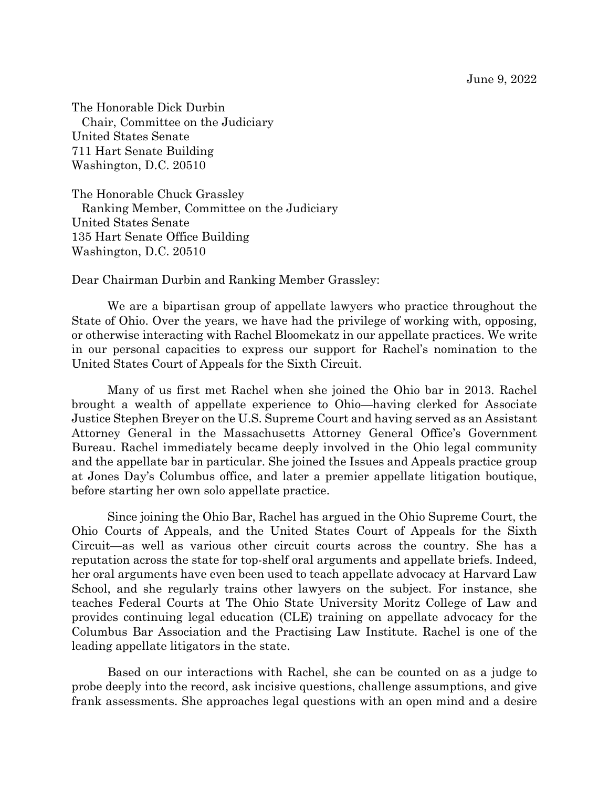June 9, 2022

The Honorable Dick Durbin Chair, Committee on the Judiciary United States Senate 711 Hart Senate Building Washington, D.C. 20510

The Honorable Chuck Grassley Ranking Member, Committee on the Judiciary United States Senate 135 Hart Senate Office Building Washington, D.C. 20510

Dear Chairman Durbin and Ranking Member Grassley:

We are a bipartisan group of appellate lawyers who practice throughout the State of Ohio. Over the years, we have had the privilege of working with, opposing, or otherwise interacting with Rachel Bloomekatz in our appellate practices. We write in our personal capacities to express our support for Rachel's nomination to the United States Court of Appeals for the Sixth Circuit.

Many of us first met Rachel when she joined the Ohio bar in 2013. Rachel brought a wealth of appellate experience to Ohio—having clerked for Associate Justice Stephen Breyer on the U.S. Supreme Court and having served as an Assistant Attorney General in the Massachusetts Attorney General Office's Government Bureau. Rachel immediately became deeply involved in the Ohio legal community and the appellate bar in particular. She joined the Issues and Appeals practice group at Jones Day's Columbus office, and later a premier appellate litigation boutique, before starting her own solo appellate practice.

Since joining the Ohio Bar, Rachel has argued in the Ohio Supreme Court, the Ohio Courts of Appeals, and the United States Court of Appeals for the Sixth Circuit—as well as various other circuit courts across the country. She has a reputation across the state for top-shelf oral arguments and appellate briefs. Indeed, her oral arguments have even been used to teach appellate advocacy at Harvard Law School, and she regularly trains other lawyers on the subject. For instance, she teaches Federal Courts at The Ohio State University Moritz College of Law and provides continuing legal education (CLE) training on appellate advocacy for the Columbus Bar Association and the Practising Law Institute. Rachel is one of the leading appellate litigators in the state.

Based on our interactions with Rachel, she can be counted on as a judge to probe deeply into the record, ask incisive questions, challenge assumptions, and give frank assessments. She approaches legal questions with an open mind and a desire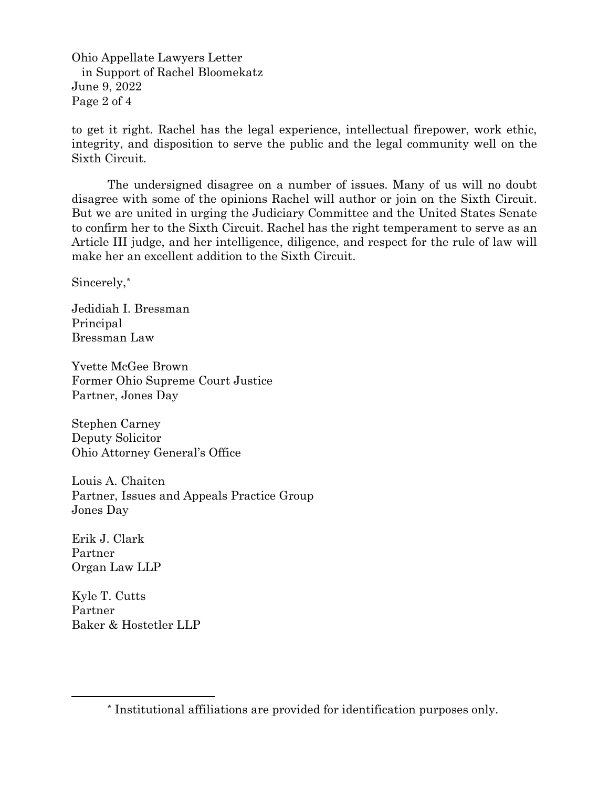Ohio Appellate Lawyers Letter in Support of Rachel Bloomekatz June 9, 2022 Page 2 of 4

to get it right. Rachel has the legal experience, intellectual firepower, work ethic, integrity, and disposition to serve the public and the legal community well on the Sixth Circuit.

The undersigned disagree on a number of issues. Many of us will no doubt disagree with some of the opinions Rachel will author or join on the Sixth Circuit. But we are united in urging the Judiciary Committee and the United States Senate to confirm her to the Sixth Circuit. Rachel has the right temperament to serve as an Article III judge, and her intelligence, diligence, and respect for the rule of law will make her an excellent addition to the Sixth Circuit.

Sincerely,[\\*](#page-1-0)

Jedidiah I. Bressman Principal Bressman Law

Yvette McGee Brown Former Ohio Supreme Court Justice Partner, Jones Day

Stephen Carney Deputy Solicitor Ohio Attorney General's Office

Louis A. Chaiten Partner, Issues and Appeals Practice Group Jones Day

Erik J. Clark Partner Organ Law LLP

Kyle T. Cutts Partner Baker & Hostetler LLP

<span id="page-1-0"></span><sup>\*</sup> Institutional affiliations are provided for identification purposes only.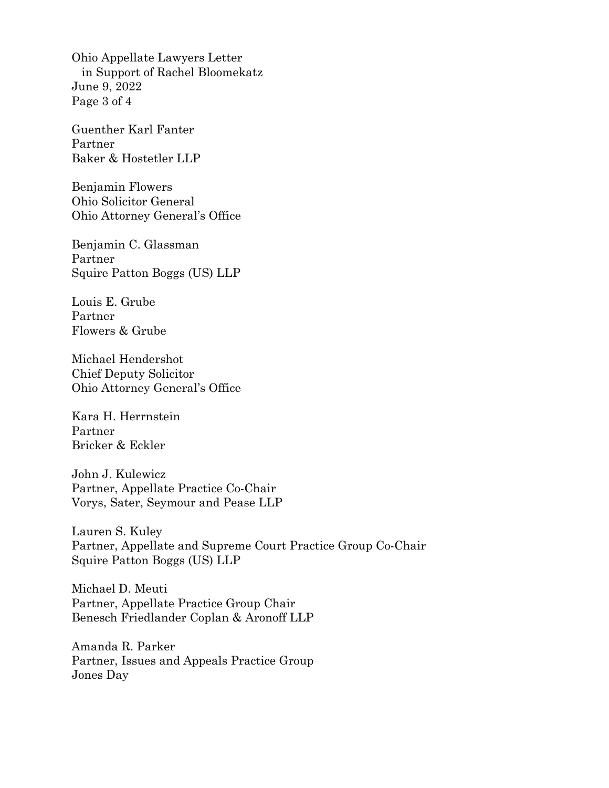Ohio Appellate Lawyers Letter in Support of Rachel Bloomekatz June 9, 2022 Page 3 of 4

Guenther Karl Fanter Partner Baker & Hostetler LLP

Benjamin Flowers Ohio Solicitor General Ohio Attorney General's Office

Benjamin C. Glassman Partner Squire Patton Boggs (US) LLP

Louis E. Grube Partner Flowers & Grube

Michael Hendershot Chief Deputy Solicitor Ohio Attorney General's Office

Kara H. Herrnstein Partner Bricker & Eckler

John J. Kulewicz Partner, Appellate Practice Co-Chair Vorys, Sater, Seymour and Pease LLP

Lauren S. Kuley Partner, Appellate and Supreme Court Practice Group Co-Chair Squire Patton Boggs (US) LLP

Michael D. Meuti Partner, Appellate Practice Group Chair Benesch Friedlander Coplan & Aronoff LLP

Amanda R. Parker Partner, Issues and Appeals Practice Group Jones Day